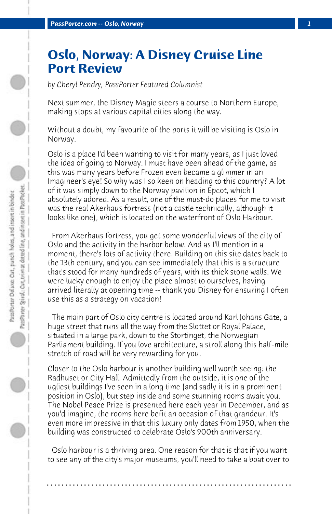## **Oslo, Norway: A Disney Cruise Line Port Review**

*by Cheryl Pendry, PassPorter Featured Columnist*

Next summer, the Disney Magic steers a course to Northern Europe, making stops at various capital cities along the way.

Without a doubt, my favourite of the ports it will be visiting is Oslo in Norway.

Oslo is a place I'd been wanting to visit for many years, as I just loved the idea of going to Norway. I must have been ahead of the game, as this was many years before Frozen even became a glimmer in an Imagineer's eye! So why was I so keen on heading to this country? A lot of it was simply down to the Norway pavilion in Epcot, which I absolutely adored. As a result, one of the must-do places for me to visit was the real Akerhaus fortress (not a castle technically, although it looks like one), which is located on the waterfront of Oslo Harbour.

 From Akerhaus fortress, you get some wonderful views of the city of Oslo and the activity in the harbor below. And as I'll mention in a moment, there's lots of activity there. Building on this site dates back to the 13th century, and you can see immediately that this is a structure that's stood for many hundreds of years, with its thick stone walls. We were lucky enough to enjoy the place almost to ourselves, having arrived literally at opening time -- thank you Disney for ensuring I often use this as a strategy on vacation!

 The main part of Oslo city centre is located around Karl Johans Gate, a huge street that runs all the way from the Slottet or Royal Palace, situated in a large park, down to the Stortinget, the Norwegian Parliament building. If you love architecture, a stroll along this half-mile stretch of road will be very rewarding for you.

Closer to the Oslo harbour is another building well worth seeing: the Radhuset or City Hall. Admittedly from the outside, it is one of the ugliest buildings I've seen in a long time (and sadly it is in a prominent position in Oslo), but step inside and some stunning rooms await you. The Nobel Peace Prize is presented here each year in December, and as you'd imagine, the rooms here befit an occasion of that grandeur. It's even more impressive in that this luxury only dates from 1950, when the building was constructed to celebrate Oslo's 900th anniversary.

 Oslo harbour is a thriving area. One reason for that is that if you want to see any of the city's major museums, you'll need to take a boat over to

**. . . . . . . . . . . . . . . . . . . . . . . . . . . . . . . . . . . . . . . . . . . . . . . . . . . . . . . . . . . . . . . . . .**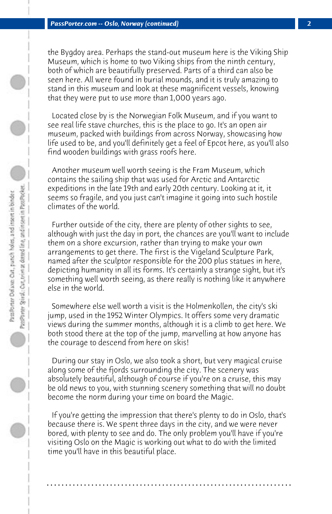the Bygdoy area. Perhaps the stand-out museum here is the Viking Ship Museum, which is home to two Viking ships from the ninth century, both of which are beautifully preserved. Parts of a third can also be seen here. All were found in burial mounds, and it is truly amazing to stand in this museum and look at these magnificent vessels, knowing that they were put to use more than 1,000 years ago.

 Located close by is the Norwegian Folk Museum, and if you want to see real life stave churches, this is the place to go. It's an open air museum, packed with buildings from across Norway, showcasing how life used to be, and you'll definitely get a feel of Epcot here, as you'll also find wooden buildings with grass roofs here.

 Another museum well worth seeing is the Fram Museum, which contains the sailing ship that was used for Arctic and Antarctic expeditions in the late 19th and early 20th century. Looking at it, it seems so fragile, and you just can't imagine it going into such hostile climates of the world.

 Further outside of the city, there are plenty of other sights to see, although with just the day in port, the chances are you'll want to include them on a shore excursion, rather than trying to make your own arrangements to get there. The first is the Vigeland Sculpture Park, named after the sculptor responsible for the 200 plus statues in here, depicting humanity in all its forms. It's certainly a strange sight, but it's something well worth seeing, as there really is nothing like it anywhere else in the world.

 Somewhere else well worth a visit is the Holmenkollen, the city's ski jump, used in the 1952 Winter Olympics. It offers some very dramatic views during the summer months, although it is a climb to get here. We both stood there at the top of the jump, marvelling at how anyone has the courage to descend from here on skis!

 During our stay in Oslo, we also took a short, but very magical cruise along some of the fjords surrounding the city. The scenery was absolutely beautiful, although of course if you're on a cruise, this may be old news to you, with stunning scenery something that will no doubt become the norm during your time on board the Magic.

 If you're getting the impression that there's plenty to do in Oslo, that's because there is. We spent three days in the city, and we were never bored, with plenty to see and do. The only problem you'll have if you're visiting Oslo on the Magic is working out what to do with the limited time you'll have in this beautiful place.

**. . . . . . . . . . . . . . . . . . . . . . . . . . . . . . . . . . . . . . . . . . . . . . . . . . . . . . . . . . . . . . . . . .**